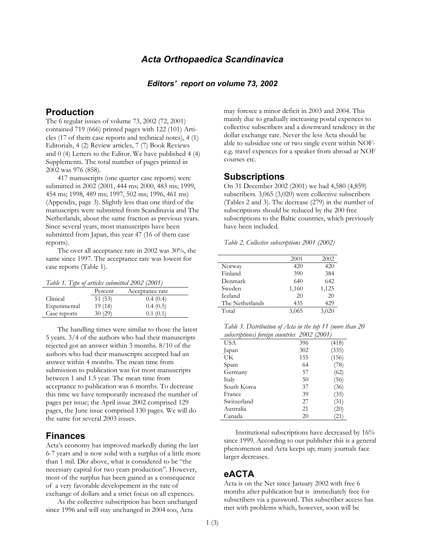## *Acta Orthopaedica Scandinavica*

#### *Editors' report on volume 73, 2002*

## **Production**

The 6 regular issues of volume 73, 2002 (72, 2001) contained 719 (666) printed pages with 122 (101) Articles (17 of them case reports and technical notes), 4 (1) Editorials, 4 (2) Review articles, 7 (7) Book Reviews and 0 (4) Letters to the Editor. We have published 4 (4) Supplements. The total number of pages printed in 2002 was 976 (858).

417 manuscripts (one quarter case reports) were submitted in 2002 (2001, 444 ms; 2000, 483 ms; 1999, 454 ms; 1998, 489 ms; 1997, 502 ms; 1996, 461 ms) (Appendix, page 3). Slightly less than one third of the manuscripts were submitted from Scandinavia and The Netherlands, about the same fraction as previous years. Since several years, most manuscripts have been submitted from Japan, this year 47 (16 of them case reports).

The over all acceptance rate in 2002 was 30%, the same since 1997. The acceptance rate was lowest for case reports (Table 1).

|  |  | Table 1. Type of articles submitted 2002 (2001) |  |  |
|--|--|-------------------------------------------------|--|--|
|  |  |                                                 |  |  |

|              | Percent | Acceptance rate |
|--------------|---------|-----------------|
| Clinical     | 51(53)  | 0.4(0.4)        |
| Experimental | 19(18)  | 0.4(0.5)        |
| Case reports | 30(29)  | 0.1(0.1)        |

The handling times were similar to those the latest 5 years. 3/4 of the authors who had their manuscripts rejected got an answer within 3 months. 8/10 of the authors who had their manuscripts accepted had an answer within 4 months. The mean time from submission to publication was for most manuscripts between 1 and 1.5 year. The mean time from acceptance to publication was 6 months. To decrease this time we have temporarily increased the number of pages per issue; the April issue 2002 comprised 129 pages, the June issue comprised 130 pages. We will do the same for several 2003 issues.

#### **Finances**

Acta's economy has improved markedly during the last 6-7 years and is now solid with a surplus of a little more than 1 mil. Dkr above, what is considered to be "the necessary capital for two years production". However, most of the surplus has been gained as a consequence of a very favorable developement in the rate of exchange of dollars and a strict focus on all expences.

As the collective subscription has been unchanged since 1996 and will stay unchanged in 2004 too, Acta

may foresee a minor deficit in 2003 and 2004. This mainly due to gradually increasing postal expences to collective subscribers and a downward tendency in the dollar exchange rate. Never the less Acta should be able to subsidize one or two single event within NOFe.g. travel expences for a speaker from abroad at NOF courses etc.

### **Subscriptions**

On 31 December 2002 (2001) we had 4,580 (4,859) subscribers. 3,065 (3,020) were collective subscribers (Tables 2 and 3). The decrease (279) in the number of subscriptions should be reduced by the 200 free subscriptions to the Baltic countries, which previously have been included.

*Table 2. Collective subscriptions 2001 (2002)* 

|                 | 2001  | 2002  |
|-----------------|-------|-------|
| Norway          | 420   | 420   |
| Finland         | 390   | 384   |
| Denmark         | 640   | 642   |
| Sweden          | 1,160 | 1,125 |
| Iceland         | 20    | 20    |
| The Netherlands | 435   | 429   |
| Total           | 3,065 | 3,020 |
|                 |       |       |

*Table 3. Distribution of Acta in the top 11 (more than 20 subscriptions) foreign countries 2002 (2001)* 

| $\cdots$ $\sim$ |     |       |
|-----------------|-----|-------|
| <b>USA</b>      | 396 | (418) |
| Japan           | 302 | (335) |
| UK              | 155 | (156) |
| Spain           | 64  | (78)  |
| Germany         | 57  | (62)  |
| Italy           | 50  | (56)  |
| South Korea     | 37  | (36)  |
| France          | 39  | (35)  |
| Switzerland     | 27  | (31)  |
| Australia       | 21  | (20)  |
| Canada          | 20  | '21'  |

Institutional subscriptions have decreased by 16% since 1999. According to our publisher this is a general phenomenon and Acta keeps up; many journals face larger decreases.

#### **eACTA**

Acta is on the Net since January 2002 with free 6 months after publication but is immediately free for subscribers via a password. This subscriber access has met with problems which, however, soon will be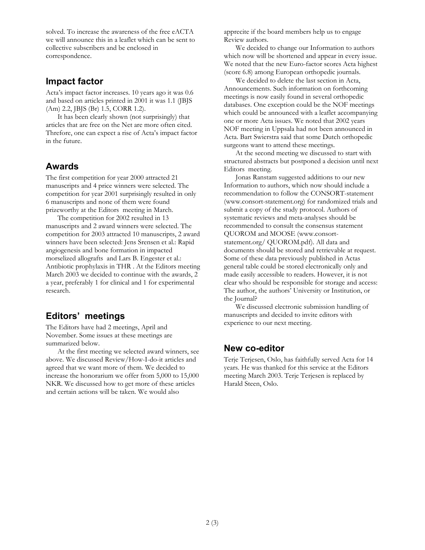solved. To increase the awareness of the free eACTA we will announce this in a leaflet which can be sent to collective subscribers and be enclosed in correspondence.

## **Impact factor**

Acta's impact factor increases. 10 years ago it was 0.6 and based on articles printed in 2001 it was 1.1 (JBJS (Am) 2.2, JBJS (Br) 1.5, CORR 1.2).

It has been clearly shown (not surprisingly) that articles that are free on the Net are more often cited. Threfore, one can expect a rise of Acta's impact factor in the future.

## **Awards**

The first competition for year 2000 attracted 21 manuscripts and 4 price winners were selected. The competition for year 2001 surprisingly resulted in only 6 manuscripts and none of them were found prizeworthy at the Editors meeting in March.

The competition for 2002 resulted in 13 manuscripts and 2 award winners were selected. The competition for 2003 attracted 10 manuscripts, 2 award winners have been selected: Jens Srensen et al.: Rapid angiogenesis and bone formation in impacted morselized allografts and Lars B. Engester et al.: Antibiotic prophylaxis in THR . At the Editors meeting March 2003 we decided to continue with the awards, 2 a year, preferably 1 for clinical and 1 for experimental research.

# **Editors' meetings**

The Editors have had 2 meetings, April and November. Some issues at these meetings are summarized below.

At the first meeting we selected award winners, see above. We discussed Review/How-I-do-it articles and agreed that we want more of them. We decided to increase the honorarium we offer from 5,000 to 15,000 NKR. We discussed how to get more of these articles and certain actions will be taken. We would also

apprecite if the board members help us to engage Review authors.

We decided to change our Information to authors which now will be shortened and appear in every issue. We noted that the new Euro-factor scores Acta highest (score 6.8) among European orthopedic journals.

We decided to delete the last section in Acta, Announcements. Such information on forthcoming meetings is now easily found in several orthopedic databases. One exception could be the NOF meetings which could be announced with a leaflet accompanying one or more Acta issues. We noted that 2002 years NOF meeting in Uppsala had not been announced in Acta. Bart Swierstra said that some Dutch orthopedic surgeons want to attend these meetings.

At the second meeting we discussed to start with structured abstracts but postponed a decision until next Editors meeting.

Jonas Ranstam suggested additions to our new Information to authors, which now should include a recommendation to follow the CONSORT-statement (www.consort-statement.org) for randomized trials and submit a copy of the study protocol. Authors of systematic reviews and meta-analyses should be recommended to consult the consensus statement QUOROM and MOOSE (www.consortstatement.org/ QUOROM.pdf). All data and documents should be stored and retrievable at request. Some of these data previously published in Actas general table could be stored electronically only and made easily accessible to readers. However, it is not clear who should be responsible for storage and access: The author, the authors' University or Institution, or the Journal?

We discussed electronic submission handling of manuscripts and decided to invite editors with experience to our next meeting.

## **New co-editor**

Terje Terjesen, Oslo, has faithfully served Acta for 14 years. He was thanked for this service at the Editors meeting March 2003. Terje Terjesen is replaced by Harald Steen, Oslo.